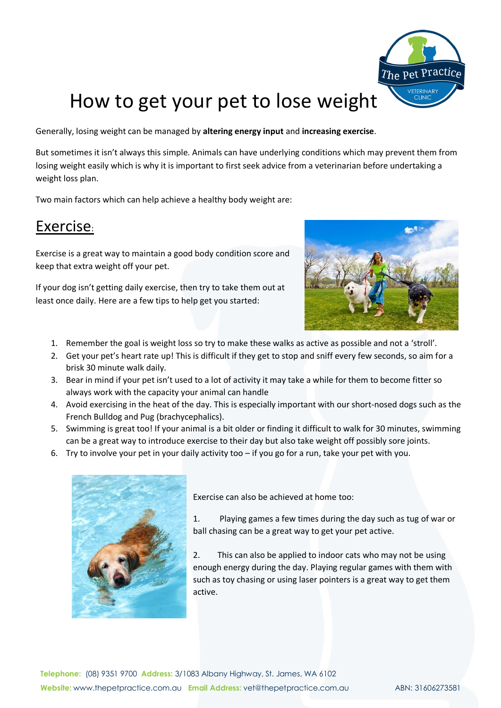

## How to get your pet to lose weight

Generally, losing weight can be managed by **altering energy input** and **increasing exercise**.

But sometimes it isn't always this simple. Animals can have underlying conditions which may prevent them from losing weight easily which is why it is important to first seek advice from a veterinarian before undertaking a weight loss plan.

Two main factors which can help achieve a healthy body weight are:

## Exercise:

Exercise is a great way to maintain a good body condition score and keep that extra weight off your pet.

If your dog isn't getting daily exercise, then try to take them out at least once daily. Here are a few tips to help get you started:



- 1. Remember the goal is weight loss so try to make these walks as active as possible and not a 'stroll'.
- 2. Get your pet's heart rate up! This is difficult if they get to stop and sniff every few seconds, so aim for a brisk 30 minute walk daily.
- 3. Bear in mind if your pet isn't used to a lot of activity it may take a while for them to become fitter so always work with the capacity your animal can handle
- 4. Avoid exercising in the heat of the day. This is especially important with our short-nosed dogs such as the French Bulldog and Pug (brachycephalics).
- 5. Swimming is great too! If your animal is a bit older or finding it difficult to walk for 30 minutes, swimming can be a great way to introduce exercise to their day but also take weight off possibly sore joints.
- 6. Try to involve your pet in your daily activity too if you go for a run, take your pet with you.



Exercise can also be achieved at home too:

1. Playing games a few times during the day such as tug of war or ball chasing can be a great way to get your pet active.

2. This can also be applied to indoor cats who may not be using enough energy during the day. Playing regular games with them with such as toy chasing or using laser pointers is a great way to get them active.